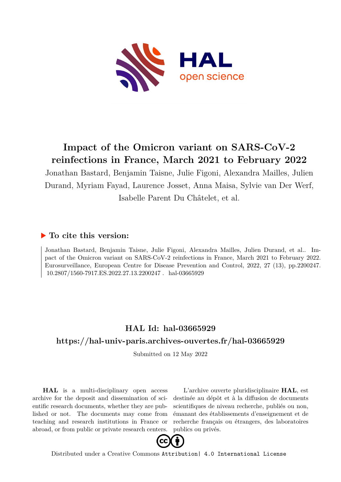

## **Impact of the Omicron variant on SARS-CoV-2 reinfections in France, March 2021 to February 2022**

Jonathan Bastard, Benjamin Taisne, Julie Figoni, Alexandra Mailles, Julien Durand, Myriam Fayad, Laurence Josset, Anna Maisa, Sylvie van Der Werf, Isabelle Parent Du Châtelet, et al.

### **To cite this version:**

Jonathan Bastard, Benjamin Taisne, Julie Figoni, Alexandra Mailles, Julien Durand, et al.. Impact of the Omicron variant on SARS-CoV-2 reinfections in France, March 2021 to February 2022. Eurosurveillance, European Centre for Disease Prevention and Control, 2022, 27 (13), pp.2200247. ff10.2807/1560-7917.ES.2022.27.13.2200247 hal-03665929

## **HAL Id: hal-03665929 <https://hal-univ-paris.archives-ouvertes.fr/hal-03665929>**

Submitted on 12 May 2022

**HAL** is a multi-disciplinary open access archive for the deposit and dissemination of scientific research documents, whether they are published or not. The documents may come from teaching and research institutions in France or abroad, or from public or private research centers.

L'archive ouverte pluridisciplinaire **HAL**, est destinée au dépôt et à la diffusion de documents scientifiques de niveau recherche, publiés ou non, émanant des établissements d'enseignement et de recherche français ou étrangers, des laboratoires publics ou privés.



Distributed under a Creative Commons [Attribution| 4.0 International License](http://creativecommons.org/licenses/by/4.0/)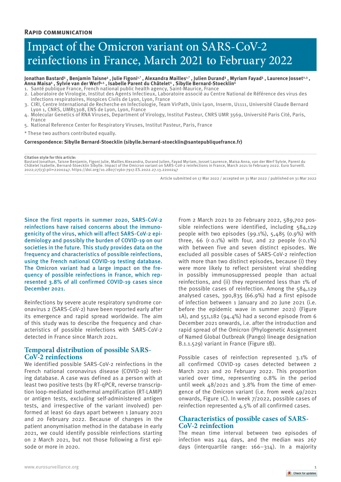# Impact of the Omicron variant on SARS-CoV-2 reinfections in France, March 2021 to February 2022

Jonathan Bastard<sup>1</sup>, Benjamin Taisne<sup>1</sup>, Julie Figoni<sup>1,\*</sup>, Alexandra Mailles<sup>1,\*</sup>, Julien Durand<sup>1</sup>, Myriam Fayad<sup>1</sup>, Laurence Josset<sup>2,3</sup>,<br>Anna Maisa<sup>1</sup>, Sylvie van der Werf<sup>4,5</sup>, Isabelle Parent du Châtelet<sup>1</sup>, Sibylle

- 1. Santé publique France, French national public health agency, Saint-Maurice, France
- 2. Laboratoire de Virologie, Institut des Agents Infectieux, Laboratoire associé au Centre National de Référence des virus des infections respiratoires, Hospices Civils de Lyon, Lyon, France
- 3. CIRI, Centre International de Recherche en Infectiologie, Team VirPath, Univ Lyon, Inserm, U1111, Université Claude Bernard Lyon 1, CNRS, UMR5308, ENS de Lyon, Lyon, France
- 4. Molecular Genetics of RNA Viruses, Department of Virology, Institut Pasteur, CNRS UMR 3569, Université Paris Cité, Paris, France
- 5. National Reference Center for Respiratory Viruses, Institut Pasteur, Paris, France
- \* These two authors contributed equally.

**Correspondence: Sibylle Bernard-Stoecklin (sibylle.bernard-stoecklin@santepubliquefrance.fr)**

#### **Citation style for this article:**

Bastard Jonathan, Taisne Benjamin, Figoni Julie, Mailles Alexandra, Durand Julien, Fayad Myriam, Josset Laurence, Maisa Anna, van der Werf Sylvie, Parent du<br>Châtelet Isabelle, Bernard-Stoecklin Sibylle. Impact of the Omicr 2022;27(13):pii=2200247. https://doi.org/10.2807/1560-7917.ES.2022.27.13.2200247

Article submitted on 17 Mar 2022 / accepted on 31 Mar 2022 / published on 31 Mar 2022

Since the first reports in summer 2020, SARS-CoV-2 reinfections have raised concerns about the immunogenicity of the virus, which will affect SARS-CoV-2 epidemiology and possibly the burden of COVID-19 on our societies in the future. This study provides data on the frequency and characteristics of possible reinfections, using the French national COVID-19 testing database. The Omicron variant had a large impact on the frequency of possible reinfections in France, which represented 3.8% of all confirmed COVID-19 cases since December 2021.

Reinfections by severe acute respiratory syndrome coronavirus 2 (SARS-CoV-2) have been reported early after its emergence and rapid spread worldwide. The aim of this study was to describe the frequency and characteristics of possible reinfections with SARS-CoV-2 detected in France since March 2021.

#### **Temporal distribution of possible SARS-CoV-2 reinfections**

We identified possible SARS-CoV-2 reinfections in the French national coronavirus disease (COVID-19) testing database. A case was defined as a person with at least two positive tests (by RT-qPCR, reverse transcription loop-mediated isothermal amplification (RT-LAMP) or antigen tests, excluding self-administered antigen tests, and irrespective of the variant involved) performed at least 60 days apart between 1 January 2021 and 20 February 2022. Because of changes in the patient anonymisation method in the database in early 2021, we could identify possible reinfections starting on 2 March 2021, but not those following a first episode or more in 2020.

From 2 March 2021 to 20 February 2022, 589,702 possible reinfections were identified, including 584,129 people with two episodes (99.1%), 5,485 (0.9%) with three, 66  $(0.1\%)$  with four, and 22 people  $(0.1\%)$ with between five and seven distinct episodes. We excluded all possible cases of SARS-CoV-2 reinfection with more than two distinct episodes, because (i) they were more likely to reflect persistent viral shedding in possibly immunosuppressed people than actual reinfections, and (ii) they represented less than 1% of the possible cases of reinfection. Among the 584,129 analysed cases, 390,835 (66.9%) had a first episode of infection between 1 January and 20 June 2021 (i.e. before the epidemic wave in summer 2021) (Figure 1A), and 551,182 (94.4%) had a second episode from 6 December 2021 onwards, i.e. after the introduction and rapid spread of the Omicron (Phylogenetic Assignment of Named Global Outbreak (Pango) lineage designation B.1.1.529) variant in France (Figure 1B).

Possible cases of reinfection represented 3.1% of all confirmed COVID-19 cases detected between 2 March 2021 and 20 February 2022. This proportion varied over time, representing 0.8% in the period until week 48/2021 and 3.8% from the time of emergence of the Omicron variant (i.e. from week 49/2021 onwards, Figure 1C). In week 7/2022, possible cases of reinfection represented 4.5% of all confirmed cases.

#### **Characteristics of possible cases of SARS-CoV-2 reinfection**

The mean time interval between two episodes of infection was 244 days, and the median was 267 days (interquartile range: 166–314). In a majority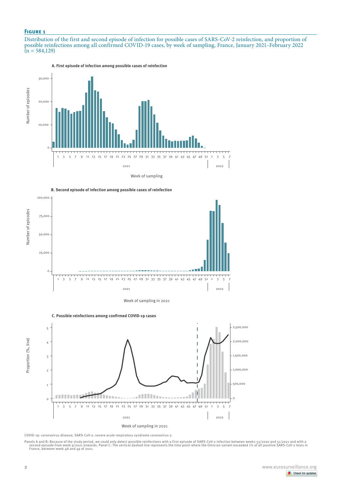#### **Figure 1**

Distribution of the first and second episode of infection for possible cases of SARS-CoV-2 reinfection, and proportion of possible reinfections among all confirmed COVID-19 cases, by week of sampling, France, January 2021–February 2022  $(n = 584,129)$ 



**A. First episode of infection among possible cases of reinfection**





Week of sampling in 2021





COVID-19: coronavirus disease; SARS-CoV-2: severe acute respiratory syndrome coronavirus 2.

Panels A and B: Because of the study period, we could only detect possible reinfections with a first episode of SARS-CoV-2 infection between weeks 53/2020 and 51/2021 and with a<br>- Second episode from weak 9/2021 on week 9/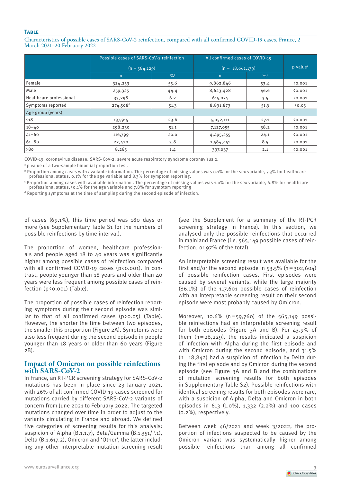#### **Table**

Characteristics of possible cases of SARS-CoV-2 reinfection, compared with all confirmed COVID-19 cases, France, 2 March 2021–20 February 2022

|                         | Possible cases of SARS-CoV-2 reinfection |               | All confirmed cases of COVID-19 |               |                      |
|-------------------------|------------------------------------------|---------------|---------------------------------|---------------|----------------------|
|                         | $(n = 584, 129)$                         |               | $(n = 18,661,139)$              |               | p value <sup>a</sup> |
|                         | $\overline{n}$                           | $\frac{9}{6}$ | n                               | $\frac{9}{6}$ |                      |
| Female                  | 324,253                                  | 55.6          | 9,862,846                       | 53.4          | (0.001)              |
| Male                    | 259,325                                  | 44.4          | 8,623,428                       | 46.6          | (0.001)              |
| Healthcare professional | 33,298                                   | 6.2           | 615,074                         | 3.5           | (0.001)              |
| Symptoms reported       | $274,508$ <sup>d</sup>                   | 51.3          | 8,831,873                       | 51.3          | 20.05                |
| Age group (years)       |                                          |               |                                 |               |                      |
| $\langle 18$            | 137,915                                  | 23.6          | 5,052,111                       | 27.1          | (0.001)              |
| $18 - 40$               | 298,230                                  | 51.1          | 7,127,055                       | 38.2          | 0.001                |
| $41 - 60$               | 116,799                                  | 20.0          | 4,495,255                       | 24.1          | 0.001                |
| $61 - 80$               | 22,420                                   | 3.8           | 1,584,451                       | 8.5           | 0.001                |
| 80                      | 8,265                                    | 1.4           | 397,037                         | 2.1           | (0.001)              |

COVID-19: coronavirus disease; SARS-CoV-2: severe acute respiratory syndrome coronavirus 2.

a p value of a two-sample binomial proportion test.

b Proportion among cases with available information. The percentage of missing values was 0.1% for the sex variable, 7.3% for healthcare professional status, 0.1% for the age variable and 8.3% for symptom reporting.

c Proportion among cases with available information . The percentage of missing values was 1.0% for the sex variable, 6.8% for healthcare professional status,<0.1% for the age variable and 7.8% for symptom reporting

 $^{\text{\tiny{d}}}$  Reporting symptoms at the time of sampling during the second episode of infection.

of cases (69.1%), this time period was 180 days or more (see Supplementary Table S1 for the numbers of possible reinfections by time interval).

The proportion of women, healthcare professionals and people aged 18 to 40 years was significantly higher among possible cases of reinfection compared with all confirmed COVID-19 cases (p<0.001). In contrast, people younger than 18 years and older than 40 years were less frequent among possible cases of reinfection (p < 0.001) (Table).

The proportion of possible cases of reinfection reporting symptoms during their second episode was similar to that of all confirmed cases  $(p \nvert 0.05)$  (Table). However, the shorter the time between two episodes, the smaller this proportion (Figure 2A). Symptoms were also less frequent during the second episode in people younger than 18 years or older than 60 years (Figure  $2B$ ).

#### **Impact of Omicron on possible reinfections with SARS-CoV-2**

In France, an RT-PCR screening strategy for SARS-CoV-2 mutations has been in place since 23 January 2021, with 26% of all confirmed COVID-19 cases screened for mutations carried by different SARS-CoV-2 variants of concern from June 2021 to February 2022. The targeted mutations changed over time in order to adjust to the variants circulating in France and abroad. We defined five categories of screening results for this analysis: suspicion of Alpha (B.1.1.7), Beta/Gamma (B.1.351/P.1), Delta (B.1.617.2), Omicron and 'Other', the latter including any other interpretable mutation screening result (see the Supplement for a summary of the RT-PCR screening strategy in France). In this section, we analysed only the possible reinfections that occurred in mainland France (i.e. 565,149 possible cases of reinfection, or 97% of the total).

An interpretable screening result was available for the first and/or the second episode in  $53.5\%$  (n = 302,604) of possible reinfection cases. First episodes were caused by several variants, while the large majority (86.1%) of the 117,601 possible cases of reinfection with an interpretable screening result on their second episode were most probably caused by Omicron.

Moreover, 10.6%  $(n=59,760)$  of the  $565,149$  possible reinfections had an interpretable screening result for both episodes (Figure 3A and B). For 43.9% of them  $(n=26.229)$ , the results indicated a suspicion of infection with Alpha during the first episode and with Omicron during the second episode, and 31.5%  $(n=18,842)$  had a suspicion of infection by Delta during the first episode and by Omicron during the second episode (see Figure 3A and B and the combinations of mutation screening results for both episodes in Supplementary Table S2). Possible reinfections with identical screening results for both episodes were rare, with a suspicion of Alpha, Delta and Omicron in both episodes in 613 (1.0%), 1,332 (2.2%) and 100 cases (0.2%), respectively.

Between week 46/2021 and week 3/2022, the proportion of infections suspected to be caused by the Omicron variant was systematically higher among possible reinfections than among all confirmed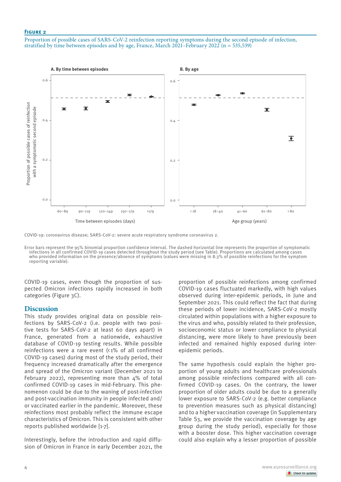#### **Figure 2**

Proportion of possible cases of SARS-CoV-2 reinfection reporting symptoms during the second episode of infection, stratified by time between episodes and by age, France, March 2021–February 2022 (n = 535,539)



COVID-19: coronavirus disease; SARS-CoV-2: severe acute respiratory syndrome coronavirus 2.

Error bars represent the 95% binomial proportion confidence interval. The dashed horizontal line represents the proportion of symptomatic infections in all confirmed COVID-19 cases detected throughout the study period (see Table). Proportions are calculated among cases who provided information on the presence/absence of symptoms (values were missing in 8.3% of possible reinfections for the symptom reporting variable).

COVID-19 cases, even though the proportion of suspected Omicron infections rapidly increased in both categories (Figure 3C).

#### **Discussion**

This study provides original data on possible reinfections by SARS-CoV-2 (i.e. people with two positive tests for SARS-CoV-2 at least 60 days apart) in France, generated from a nationwide, exhaustive database of COVID-19 testing results. While possible reinfections were a rare event (< 1% of all confirmed COVID-19 cases) during most of the study period, their frequency increased dramatically after the emergence and spread of the Omicron variant (December 2021 to February 2022), representing more than 4% of total confirmed COVID-19 cases in mid-February. This phenomenon could be due to the waning of post-infection and post-vaccination immunity in people infected and/ or vaccinated earlier in the pandemic. Moreover, these reinfections most probably reflect the immune escape characteristics of Omicron. This is consistent with other reports published worldwide [1-7].

Interestingly, before the introduction and rapid diffusion of Omicron in France in early December 2021, the

proportion of possible reinfections among confirmed COVID-19 cases fluctuated markedly, with high values observed during inter-epidemic periods, in June and September 2021. This could reflect the fact that during these periods of lower incidence, SARS-CoV-2 mostly circulated within populations with a higher exposure to the virus and who, possibly related to their profession, socioeconomic status or lower compliance to physical distancing, were more likely to have previously been infected and remained highly exposed during interepidemic periods.

The same hypothesis could explain the higher proportion of young adults and healthcare professionals among possible reinfections compared with all confirmed COVID-19 cases. On the contrary, the lower proportion of older adults could be due to a generally lower exposure to SARS-CoV-2 (e.g. better compliance to prevention measures such as physical distancing) and to a higher vaccination coverage (in Supplementary Table S3, we provide the vaccination coverage by age group during the study period), especially for those with a booster dose. This higher vaccination coverage could also explain why a lesser proportion of possible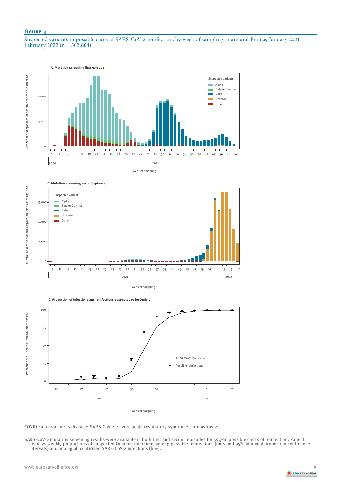#### **Figure 3**

Number of second episodes ofpossible cases of reinfection

Number of second episodes ofpossible cases of reinfection

Suspected variants in possible cases of SARS-CoV-2 reinfection, by week of sampling, mainland France, January 2021– February 2022 ( $n = 302,604$ )





**C. Proportion of infections and reinfections suspected to be Omicron** 



COVID-19: coronavirus disease; SARS-CoV-2: severe acute respiratory syndrome coronavirus 2.

SARS-CoV-2 mutation screening results were available in both first and second episodes for 59,760 possible cases of reinfection. Panel C<br>displays weekly proportions of suspected Omicron infections among possible reinfectio intervals) and among all confirmed SARS-CoV-2 infections (line).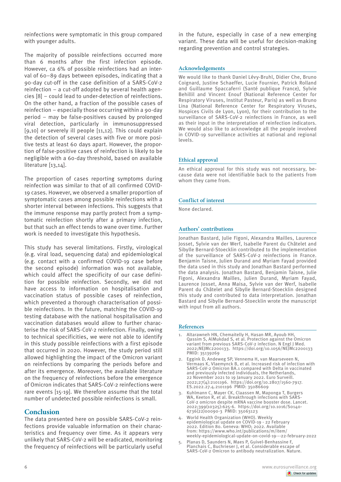reinfections were symptomatic in this group compared with younger adults.

The majority of possible reinfections occurred more than 6 months after the first infection episode. However, ca 6% of possible reinfections had an interval of 60–89 days between episodes, indicating that a 90-day cut-off in the case definition of a SARS-CoV-2 reinfection – a cut-off adopted by several health agencies [8] – could lead to under-detection of reinfections. On the other hand, a fraction of the possible cases of reinfection – especially those occurring within a 90-day period – may be false-positives caused by prolonged viral detection, particularly in immunosuppressed [9,10] or severely ill people [11,12]. This could explain the detection of several cases with five or more positive tests at least 60 days apart. However, the proportion of false-positive cases of reinfection is likely to be negligible with a 60-day threshold, based on available literature [13,14].

The proportion of cases reporting symptoms during reinfection was similar to that of all confirmed COVID-19 cases. However, we observed a smaller proportion of symptomatic cases among possible reinfections with a shorter interval between infections. This suggests that the immune response may partly protect from a symptomatic reinfection shortly after a primary infection, but that such an effect tends to wane over time. Further work is needed to investigate this hypothesis.

This study has several limitations. Firstly, virological (e.g. viral load, sequencing data) and epidemiological (e.g. contact with a confirmed COVID-19 case before the second episode) information was not available, which could affect the specificity of our case definition for possible reinfection. Secondly, we did not have access to information on hospitalisation and vaccination status of possible cases of reinfection, which prevented a thorough characterisation of possible reinfections. In the future, matching the COVID-19 testing database with the national hospitalisation and vaccination databases would allow to further characterise the risk of SARS-CoV-2 reinfection. Finally, owing to technical specificities, we were not able to identify in this study possible reinfections with a first episode that occurred in 2020. However, the study period still allowed highlighting the impact of the Omicron variant on reinfections by comparing the periods before and after its emergence. Moreover, the available literature on the frequency of reinfections before the emergence of Omicron indicates that SARS-CoV-2 reinfections were rare events [15-19]. We therefore assume that the total number of undetected possible reinfections is small.

#### **Conclusion**

The data presented here on possible SARS-CoV-2 reinfections provide valuable information on their characteristics and frequency over time. As it appears very unlikely that SARS-CoV-2 will be eradicated, monitoring the frequency of reinfections will be particularly useful in the future, especially in case of a new emerging variant. These data will be useful for decision-making regarding prevention and control strategies.

#### **Acknowledgements**

We would like to thank Daniel Lévy-Bruhl, Didier Che, Bruno Coignard, Justine Schaeffer, Lucie Fournier, Patrick Rolland and Guillaume Spaccaferri (Santé publique France), Sylvie Behillil and Vincent Enouf (National Reference Center for Respiratory Viruses, Institut Pasteur, Paris) as well as Bruno Lina (National Reference Center for Respiratory Viruses, Hospices Civils de Lyon, Lyon), for their contribution to the surveillance of SARS-CoV-2 reinfections in France, as well as their input in the interpretation of reinfection indicators. We would also like to acknowledge all the people involved in COVID-19 surveillance activities at national and regional levels.

#### **Ethical approval**

An ethical approval for this study was not necessary, because data were not identifiable back to the patients from whom they came from.

#### **Conflict of interest**

None declared.

#### **Authors' contributions**

Jonathan Bastard, Julie Figoni, Alexandra Mailles, Laurence Josset, Sylvie van der Werf, Isabelle Parent du Châtelet and Sibylle Bernard-Stoecklin contributed to the implementation of the surveillance of SARS-CoV-2 reinfections in France. Benjamin Taisne, Julien Durand and Myriam Fayad provided the data used in this study and Jonathan Bastard performed the data analysis. Jonathan Bastard, Benjamin Taisne, Julie Figoni, Alexandra Mailles, Julien Durand, Myriam Fayad, Laurence Josset, Anna Maisa, Sylvie van der Werf, Isabelle Parent du Châtelet and Sibylle Bernard-Stoecklin designed this study and contributed to data interpretation. Jonathan Bastard and Sibylle Bernard-Stoecklin wrote the manuscript with input from all authors.

#### **References**

- 1. Altarawneh HN, Chemaitelly H, Hasan MR, Ayoub HH, Qassim S, AlMukdad S, et al. Protection against the Omicron variant from previous SARS-CoV-2 infection. N Engl J Med. 2022;NEJMc2200133. https://doi.org/10.1056/NEJMc2200133 PMID: 35139269
- 2. Eggink D, Andeweg SP, Vennema H, van Maarseveen N, Vermaas K, Vlaemynck B, et al. Increased risk of infection with SARS-CoV-2 Omicron BA.1 compared with Delta in vaccinated and previously infected individuals, the Netherlands, 22 November 2021 to 19 January 2022. Euro Surveill. 2022;27(4):2101196. https://doi.org/10.2807/1560-7917. ES.2022.27.4.2101196 PMID: 35086609
- 3. Kuhlmann C, Mayer CK, Claassen M, Maponga T, Burgers WA, Keeton R, et al. Breakthrough infections with SARS-CoV-2 omicron despite mRNA vaccine booster dose. Lancet. 2022;399(10325):625-6. https://doi.org/10.1016/S0140- 6736(22)00090-3 PMID: 35063123
- World Health Organization (WHO). Weekly epidemiological update on COVID-19 - 22 February 2022. Edition 80. Geneva: WHO; 2022. Available from: https://www.who.int/publications/m/item/ weekly-epidemiological-update-on-covid-19---22-february-2022
- 5. Planas D, Saunders N, Maes P, Guivel-Benhassine F, Planchais C, Buchrieser J, et al. Considerable escape of SARS-CoV-2 Omicron to antibody neutralization. Nature.